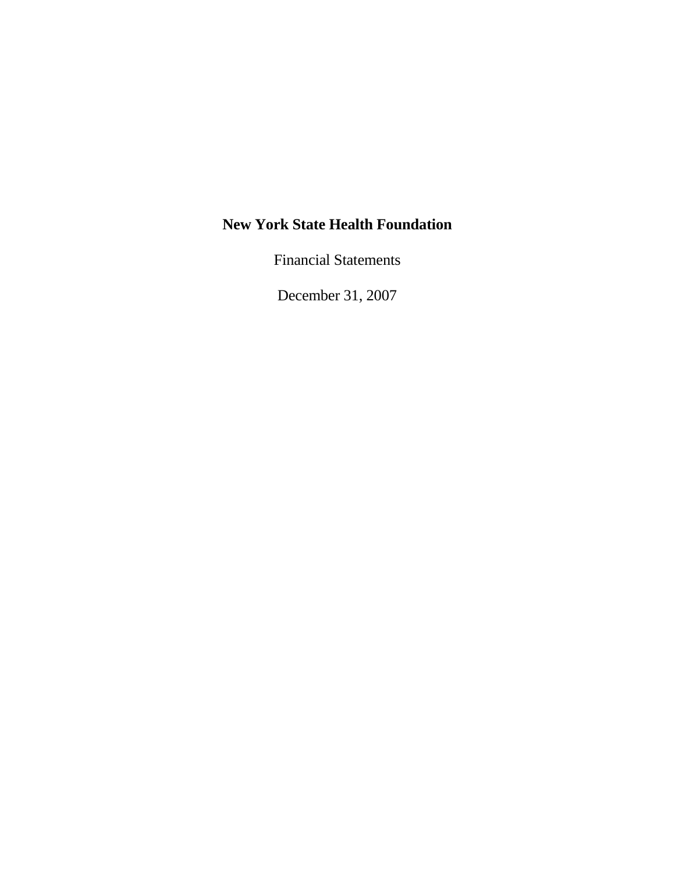Financial Statements

December 31, 2007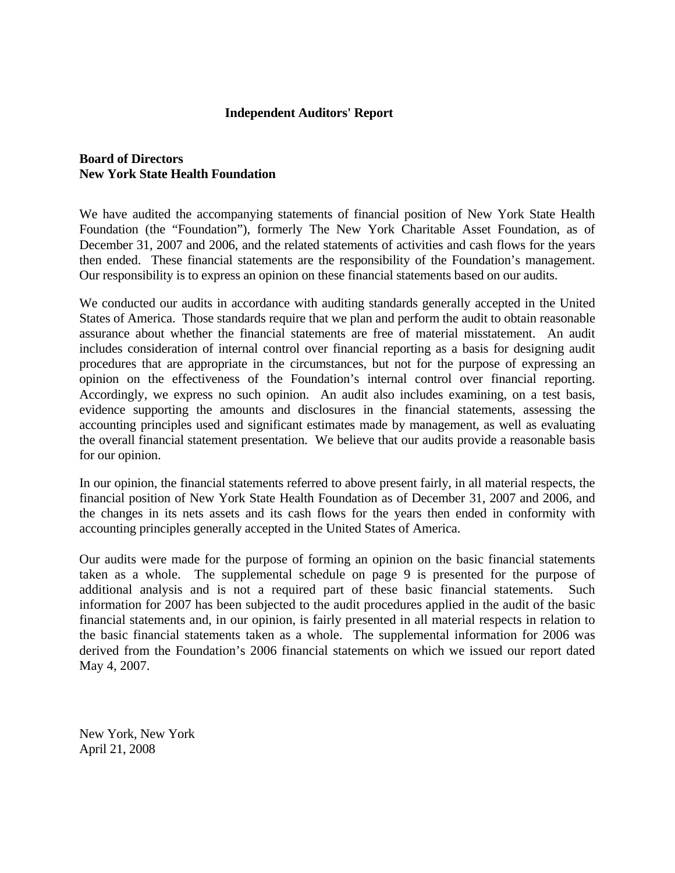### **Independent Auditors' Report**

### **Board of Directors New York State Health Foundation**

We have audited the accompanying statements of financial position of New York State Health Foundation (the "Foundation"), formerly The New York Charitable Asset Foundation, as of December 31, 2007 and 2006, and the related statements of activities and cash flows for the years then ended. These financial statements are the responsibility of the Foundation's management. Our responsibility is to express an opinion on these financial statements based on our audits.

We conducted our audits in accordance with auditing standards generally accepted in the United States of America. Those standards require that we plan and perform the audit to obtain reasonable assurance about whether the financial statements are free of material misstatement. An audit includes consideration of internal control over financial reporting as a basis for designing audit procedures that are appropriate in the circumstances, but not for the purpose of expressing an opinion on the effectiveness of the Foundation's internal control over financial reporting. Accordingly, we express no such opinion. An audit also includes examining, on a test basis, evidence supporting the amounts and disclosures in the financial statements, assessing the accounting principles used and significant estimates made by management, as well as evaluating the overall financial statement presentation. We believe that our audits provide a reasonable basis for our opinion.

In our opinion, the financial statements referred to above present fairly, in all material respects, the financial position of New York State Health Foundation as of December 31, 2007 and 2006, and the changes in its nets assets and its cash flows for the years then ended in conformity with accounting principles generally accepted in the United States of America.

Our audits were made for the purpose of forming an opinion on the basic financial statements taken as a whole. The supplemental schedule on page 9 is presented for the purpose of additional analysis and is not a required part of these basic financial statements. Such information for 2007 has been subjected to the audit procedures applied in the audit of the basic financial statements and, in our opinion, is fairly presented in all material respects in relation to the basic financial statements taken as a whole. The supplemental information for 2006 was derived from the Foundation's 2006 financial statements on which we issued our report dated May 4, 2007.

New York, New York April 21, 2008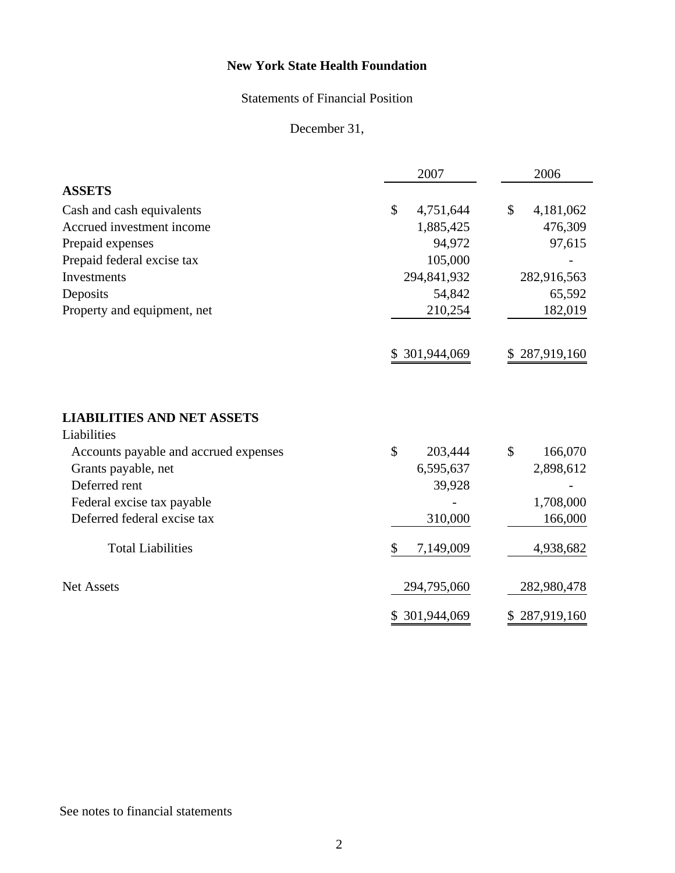# Statements of Financial Position

December 31,

|                                                  | 2007            | 2006               |
|--------------------------------------------------|-----------------|--------------------|
| <b>ASSETS</b>                                    |                 |                    |
| Cash and cash equivalents                        | \$<br>4,751,644 | \$<br>4,181,062    |
| Accrued investment income                        | 1,885,425       | 476,309            |
| Prepaid expenses                                 | 94,972          | 97,615             |
| Prepaid federal excise tax                       | 105,000         |                    |
| Investments                                      | 294,841,932     | 282,916,563        |
| Deposits                                         | 54,842          | 65,592             |
| Property and equipment, net                      | 210,254         | 182,019            |
|                                                  | \$ 301,944,069  | 287,919,160        |
| <b>LIABILITIES AND NET ASSETS</b><br>Liabilities |                 |                    |
| Accounts payable and accrued expenses            | \$<br>203,444   | \$<br>166,070      |
| Grants payable, net                              | 6,595,637       | 2,898,612          |
| Deferred rent                                    | 39,928          |                    |
| Federal excise tax payable                       |                 | 1,708,000          |
| Deferred federal excise tax                      | 310,000         | 166,000            |
| <b>Total Liabilities</b>                         | \$<br>7,149,009 | 4,938,682          |
| <b>Net Assets</b>                                | 294,795,060     | 282,980,478        |
|                                                  | \$ 301,944,069  | 287,919,160<br>\$. |

# See notes to financial statements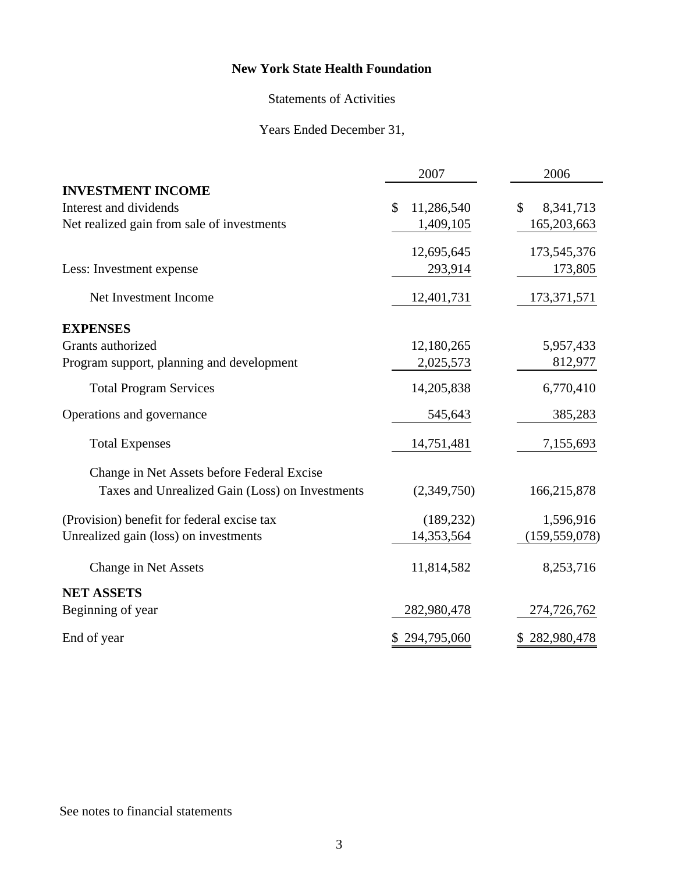# Statements of Activities

# Years Ended December 31,

|                                                 | 2007                        | 2006            |  |
|-------------------------------------------------|-----------------------------|-----------------|--|
| <b>INVESTMENT INCOME</b>                        |                             |                 |  |
| Interest and dividends                          | $\mathcal{S}$<br>11,286,540 | \$<br>8,341,713 |  |
| Net realized gain from sale of investments      | 1,409,105                   | 165,203,663     |  |
|                                                 | 12,695,645                  | 173,545,376     |  |
| Less: Investment expense                        | 293,914                     | 173,805         |  |
| Net Investment Income                           | 12,401,731                  | 173, 371, 571   |  |
| <b>EXPENSES</b>                                 |                             |                 |  |
| Grants authorized                               | 12,180,265                  | 5,957,433       |  |
| Program support, planning and development       | 2,025,573                   | 812,977         |  |
| <b>Total Program Services</b>                   | 14,205,838                  | 6,770,410       |  |
| Operations and governance                       | 545,643                     | 385,283         |  |
| <b>Total Expenses</b>                           | 14,751,481                  | 7,155,693       |  |
| Change in Net Assets before Federal Excise      |                             |                 |  |
| Taxes and Unrealized Gain (Loss) on Investments | (2,349,750)                 | 166,215,878     |  |
| (Provision) benefit for federal excise tax      | (189, 232)                  | 1,596,916       |  |
| Unrealized gain (loss) on investments           | 14,353,564                  | (159, 559, 078) |  |
| Change in Net Assets                            | 11,814,582                  | 8,253,716       |  |
| <b>NET ASSETS</b>                               |                             |                 |  |
| Beginning of year                               | 282,980,478                 | 274,726,762     |  |
| End of year                                     | \$294,795,060               | \$282,980,478   |  |

# See notes to financial statements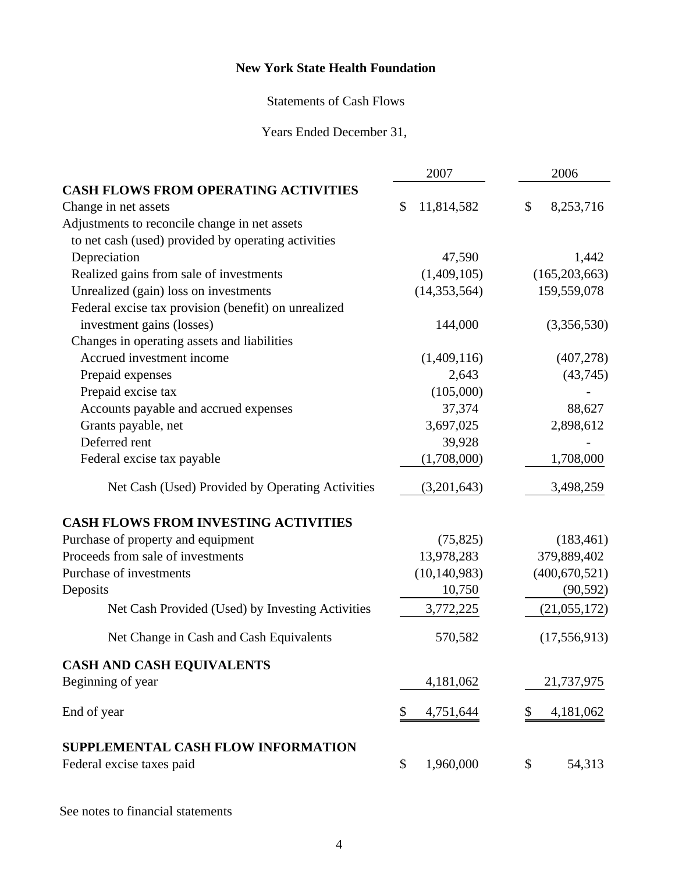## Statements of Cash Flows

Years Ended December 31,

|                                                      | 2007             | 2006             |  |
|------------------------------------------------------|------------------|------------------|--|
| <b>CASH FLOWS FROM OPERATING ACTIVITIES</b>          |                  |                  |  |
| Change in net assets                                 | \$<br>11,814,582 | \$<br>8,253,716  |  |
| Adjustments to reconcile change in net assets        |                  |                  |  |
| to net cash (used) provided by operating activities  |                  |                  |  |
| Depreciation                                         | 47,590           | 1,442            |  |
| Realized gains from sale of investments              | (1,409,105)      | (165, 203, 663)  |  |
| Unrealized (gain) loss on investments                | (14, 353, 564)   | 159,559,078      |  |
| Federal excise tax provision (benefit) on unrealized |                  |                  |  |
| investment gains (losses)                            | 144,000          | (3,356,530)      |  |
| Changes in operating assets and liabilities          |                  |                  |  |
| Accrued investment income                            | (1,409,116)      | (407, 278)       |  |
| Prepaid expenses                                     | 2,643            | (43,745)         |  |
| Prepaid excise tax                                   | (105,000)        |                  |  |
| Accounts payable and accrued expenses                | 37,374           | 88,627           |  |
| Grants payable, net                                  | 3,697,025        | 2,898,612        |  |
| Deferred rent                                        | 39,928           |                  |  |
| Federal excise tax payable                           | (1,708,000)      | 1,708,000        |  |
| Net Cash (Used) Provided by Operating Activities     | (3,201,643)      | 3,498,259        |  |
| <b>CASH FLOWS FROM INVESTING ACTIVITIES</b>          |                  |                  |  |
| Purchase of property and equipment                   | (75, 825)        | (183, 461)       |  |
| Proceeds from sale of investments                    | 13,978,283       | 379,889,402      |  |
| Purchase of investments                              | (10, 140, 983)   | (400, 670, 521)  |  |
| Deposits                                             | 10,750           | (90, 592)        |  |
| Net Cash Provided (Used) by Investing Activities     | 3,772,225        | (21,055,172)     |  |
| Net Change in Cash and Cash Equivalents              | 570,582          | (17, 556, 913)   |  |
| <b>CASH AND CASH EQUIVALENTS</b>                     |                  |                  |  |
| Beginning of year                                    | 4,181,062        | 21,737,975       |  |
| End of year                                          | \$<br>4,751,644  | 4, 181, 062<br>S |  |
| SUPPLEMENTAL CASH FLOW INFORMATION                   |                  |                  |  |
| Federal excise taxes paid                            | \$<br>1,960,000  | \$<br>54,313     |  |

See notes to financial statements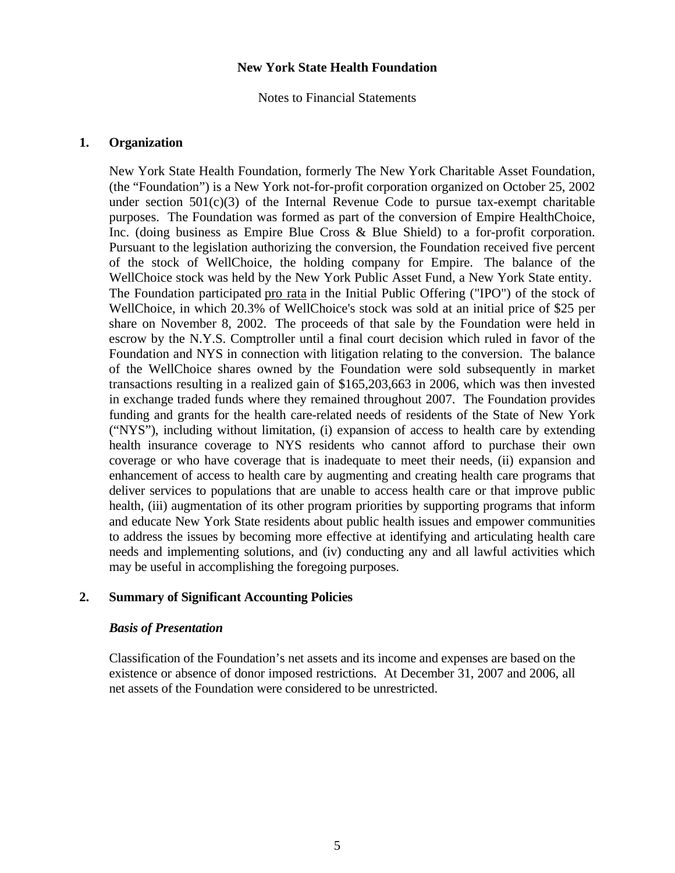Notes to Financial Statements

#### **1. Organization**

New York State Health Foundation, formerly The New York Charitable Asset Foundation, (the "Foundation") is a New York not-for-profit corporation organized on October 25, 2002 under section  $501(c)(3)$  of the Internal Revenue Code to pursue tax-exempt charitable purposes. The Foundation was formed as part of the conversion of Empire HealthChoice, Inc. (doing business as Empire Blue Cross & Blue Shield) to a for-profit corporation. Pursuant to the legislation authorizing the conversion, the Foundation received five percent of the stock of WellChoice, the holding company for Empire. The balance of the WellChoice stock was held by the New York Public Asset Fund, a New York State entity. The Foundation participated pro rata in the Initial Public Offering ("IPO") of the stock of WellChoice, in which 20.3% of WellChoice's stock was sold at an initial price of \$25 per share on November 8, 2002. The proceeds of that sale by the Foundation were held in escrow by the N.Y.S. Comptroller until a final court decision which ruled in favor of the Foundation and NYS in connection with litigation relating to the conversion. The balance of the WellChoice shares owned by the Foundation were sold subsequently in market transactions resulting in a realized gain of \$165,203,663 in 2006, which was then invested in exchange traded funds where they remained throughout 2007. The Foundation provides funding and grants for the health care-related needs of residents of the State of New York ("NYS"), including without limitation, (i) expansion of access to health care by extending health insurance coverage to NYS residents who cannot afford to purchase their own coverage or who have coverage that is inadequate to meet their needs, (ii) expansion and enhancement of access to health care by augmenting and creating health care programs that deliver services to populations that are unable to access health care or that improve public health, (iii) augmentation of its other program priorities by supporting programs that inform and educate New York State residents about public health issues and empower communities to address the issues by becoming more effective at identifying and articulating health care needs and implementing solutions, and (iv) conducting any and all lawful activities which may be useful in accomplishing the foregoing purposes.

### **2. Summary of Significant Accounting Policies**

### *Basis of Presentation*

Classification of the Foundation's net assets and its income and expenses are based on the existence or absence of donor imposed restrictions. At December 31, 2007 and 2006, all net assets of the Foundation were considered to be unrestricted.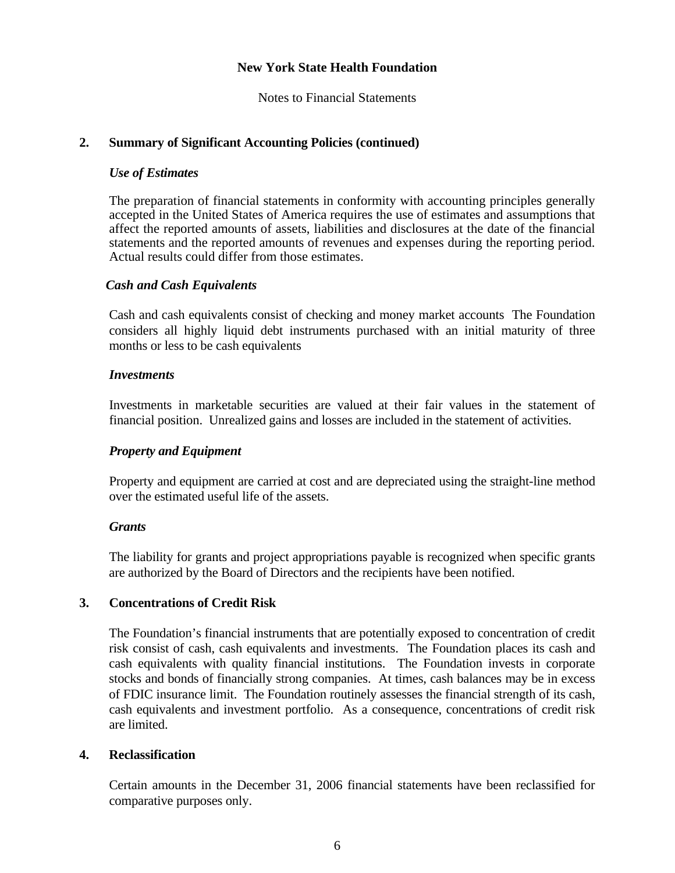Notes to Financial Statements

## **2. Summary of Significant Accounting Policies (continued)**

### *Use of Estimates*

The preparation of financial statements in conformity with accounting principles generally accepted in the United States of America requires the use of estimates and assumptions that affect the reported amounts of assets, liabilities and disclosures at the date of the financial statements and the reported amounts of revenues and expenses during the reporting period. Actual results could differ from those estimates.

### *Cash and Cash Equivalents*

 Cash and cash equivalents consist of checking and money market accounts The Foundation considers all highly liquid debt instruments purchased with an initial maturity of three months or less to be cash equivalents

## *Investments*

 Investments in marketable securities are valued at their fair values in the statement of financial position. Unrealized gains and losses are included in the statement of activities.

## *Property and Equipment*

 Property and equipment are carried at cost and are depreciated using the straight-line method over the estimated useful life of the assets.

### *Grants*

 The liability for grants and project appropriations payable is recognized when specific grants are authorized by the Board of Directors and the recipients have been notified.

### **3. Concentrations of Credit Risk**

 The Foundation's financial instruments that are potentially exposed to concentration of credit risk consist of cash, cash equivalents and investments. The Foundation places its cash and cash equivalents with quality financial institutions. The Foundation invests in corporate stocks and bonds of financially strong companies. At times, cash balances may be in excess of FDIC insurance limit. The Foundation routinely assesses the financial strength of its cash, cash equivalents and investment portfolio. As a consequence, concentrations of credit risk are limited.

### **4. Reclassification**

 Certain amounts in the December 31, 2006 financial statements have been reclassified for comparative purposes only.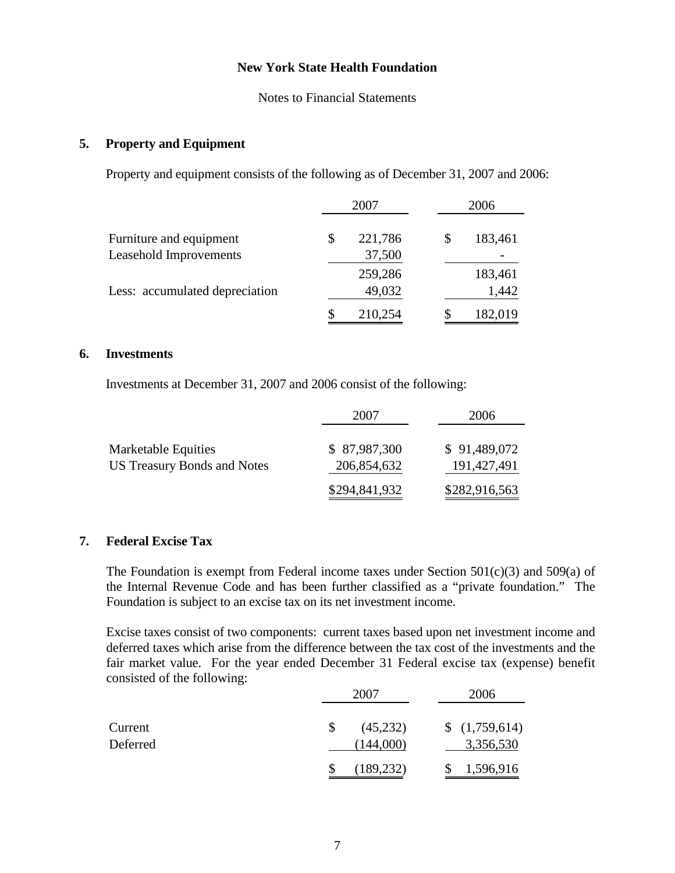Notes to Financial Statements

#### **5. Property and Equipment**

Property and equipment consists of the following as of December 31, 2007 and 2006:

|                                | 2007 |         | 2006          |  |
|--------------------------------|------|---------|---------------|--|
| Furniture and equipment        | \$   | 221,786 | \$<br>183,461 |  |
| Leasehold Improvements         |      | 37,500  |               |  |
|                                |      | 259,286 | 183,461       |  |
| Less: accumulated depreciation |      | 49,032  | 1,442         |  |
|                                | \$   | 210,254 | 182,019       |  |

#### **6. Investments**

Investments at December 31, 2007 and 2006 consist of the following:

|                                                           | 2007                        | 2006                        |
|-----------------------------------------------------------|-----------------------------|-----------------------------|
| Marketable Equities<br><b>US Treasury Bonds and Notes</b> | \$87,987,300<br>206,854,632 | \$91,489,072<br>191,427,491 |
|                                                           | \$294,841,932               | \$282,916,563               |

## **7. Federal Excise Tax**

The Foundation is exempt from Federal income taxes under Section  $501(c)(3)$  and  $509(a)$  of the Internal Revenue Code and has been further classified as a "private foundation." The Foundation is subject to an excise tax on its net investment income.

 Excise taxes consist of two components: current taxes based upon net investment income and deferred taxes which arise from the difference between the tax cost of the investments and the fair market value. For the year ended December 31 Federal excise tax (expense) benefit consisted of the following:

|          | 2007            | 2006          |
|----------|-----------------|---------------|
| Current  | (45,232)<br>\$. | \$(1,759,614) |
| Deferred | (144,000)       | 3,356,530     |
|          | (189, 232)      | 1,596,916     |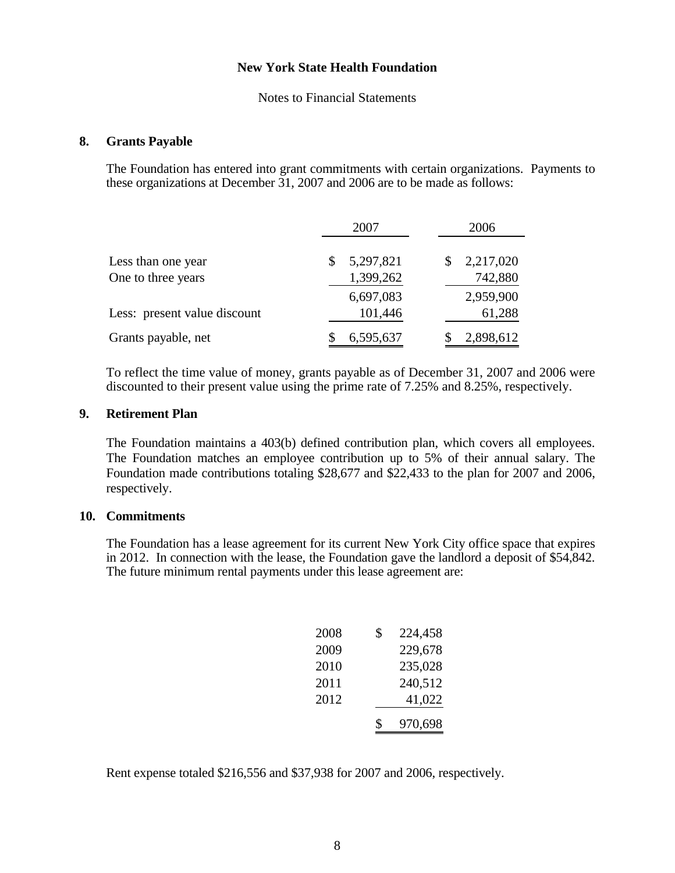Notes to Financial Statements

#### **8. Grants Payable**

 The Foundation has entered into grant commitments with certain organizations. Payments to these organizations at December 31, 2007 and 2006 are to be made as follows:

|                              | 2007      | 2006      |  |
|------------------------------|-----------|-----------|--|
| Less than one year           | 5,297,821 | 2,217,020 |  |
| One to three years           | 1,399,262 | 742,880   |  |
|                              | 6,697,083 | 2,959,900 |  |
| Less: present value discount | 101,446   | 61,288    |  |
| Grants payable, net          | 6,595,637 | 2,898,612 |  |

 To reflect the time value of money, grants payable as of December 31, 2007 and 2006 were discounted to their present value using the prime rate of 7.25% and 8.25%, respectively.

#### **9. Retirement Plan**

The Foundation maintains a 403(b) defined contribution plan, which covers all employees. The Foundation matches an employee contribution up to 5% of their annual salary. The Foundation made contributions totaling \$28,677 and \$22,433 to the plan for 2007 and 2006, respectively.

#### **10. Commitments**

 The Foundation has a lease agreement for its current New York City office space that expires in 2012. In connection with the lease, the Foundation gave the landlord a deposit of \$54,842. The future minimum rental payments under this lease agreement are:

| 2008 | \$<br>224,458 |
|------|---------------|
| 2009 | 229,678       |
| 2010 | 235,028       |
| 2011 | 240,512       |
| 2012 | 41,022        |
|      | \$<br>970,698 |

Rent expense totaled \$216,556 and \$37,938 for 2007 and 2006, respectively.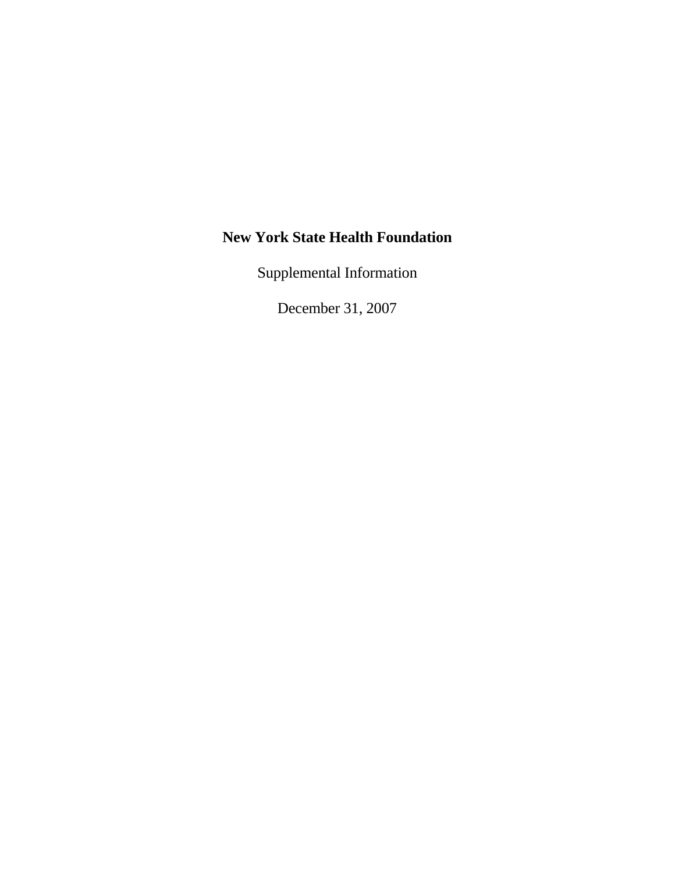Supplemental Information

December 31, 2007